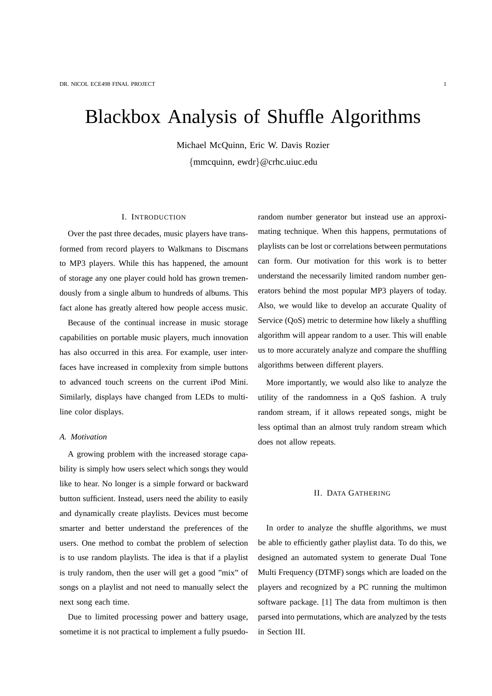# Blackbox Analysis of Shuffle Algorithms

Michael McQuinn, Eric W. Davis Rozier {mmcquinn, ewdr}@crhc.uiuc.edu

# I. INTRODUCTION

Over the past three decades, music players have transformed from record players to Walkmans to Discmans to MP3 players. While this has happened, the amount of storage any one player could hold has grown tremendously from a single album to hundreds of albums. This fact alone has greatly altered how people access music.

Because of the continual increase in music storage capabilities on portable music players, much innovation has also occurred in this area. For example, user interfaces have increased in complexity from simple buttons to advanced touch screens on the current iPod Mini. Similarly, displays have changed from LEDs to multiline color displays.

#### *A. Motivation*

A growing problem with the increased storage capability is simply how users select which songs they would like to hear. No longer is a simple forward or backward button sufficient. Instead, users need the ability to easily and dynamically create playlists. Devices must become smarter and better understand the preferences of the users. One method to combat the problem of selection is to use random playlists. The idea is that if a playlist is truly random, then the user will get a good "mix" of songs on a playlist and not need to manually select the next song each time.

Due to limited processing power and battery usage, sometime it is not practical to implement a fully psuedorandom number generator but instead use an approximating technique. When this happens, permutations of playlists can be lost or correlations between permutations can form. Our motivation for this work is to better understand the necessarily limited random number generators behind the most popular MP3 players of today. Also, we would like to develop an accurate Quality of Service (QoS) metric to determine how likely a shuffling algorithm will appear random to a user. This will enable us to more accurately analyze and compare the shuffling algorithms between different players.

More importantly, we would also like to analyze the utility of the randomness in a QoS fashion. A truly random stream, if it allows repeated songs, might be less optimal than an almost truly random stream which does not allow repeats.

# II. DATA GATHERING

In order to analyze the shuffle algorithms, we must be able to efficiently gather playlist data. To do this, we designed an automated system to generate Dual Tone Multi Frequency (DTMF) songs which are loaded on the players and recognized by a PC running the multimon software package. [1] The data from multimon is then parsed into permutations, which are analyzed by the tests in Section III.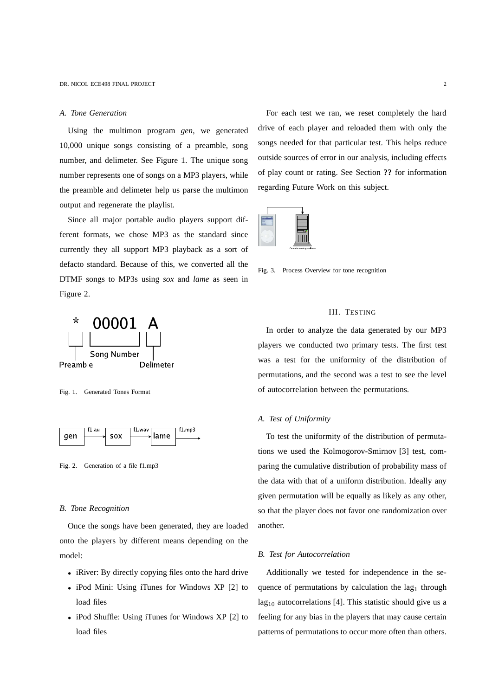## *A. Tone Generation*

Using the multimon program *gen*, we generated 10,000 unique songs consisting of a preamble, song number, and delimeter. See Figure 1. The unique song number represents one of songs on a MP3 players, while the preamble and delimeter help us parse the multimon output and regenerate the playlist.

Since all major portable audio players support different formats, we chose MP3 as the standard since currently they all support MP3 playback as a sort of defacto standard. Because of this, we converted all the DTMF songs to MP3s using *sox* and *lame* as seen in Figure 2.



Fig. 1. Generated Tones Format



Fig. 2. Generation of a file f1.mp3

#### *B. Tone Recognition*

Once the songs have been generated, they are loaded onto the players by different means depending on the model:

- iRiver: By directly copying files onto the hard drive
- iPod Mini: Using iTunes for Windows XP [2] to load files
- iPod Shuffle: Using iTunes for Windows XP [2] to load files

For each test we ran, we reset completely the hard drive of each player and reloaded them with only the songs needed for that particular test. This helps reduce outside sources of error in our analysis, including effects of play count or rating. See Section **??** for information regarding Future Work on this subject.



Fig. 3. Process Overview for tone recognition

# III. TESTING

In order to analyze the data generated by our MP3 players we conducted two primary tests. The first test was a test for the uniformity of the distribution of permutations, and the second was a test to see the level of autocorrelation between the permutations.

## *A. Test of Uniformity*

To test the uniformity of the distribution of permutations we used the Kolmogorov-Smirnov [3] test, comparing the cumulative distribution of probability mass of the data with that of a uniform distribution. Ideally any given permutation will be equally as likely as any other, so that the player does not favor one randomization over another.

### *B. Test for Autocorrelation*

Additionally we tested for independence in the sequence of permutations by calculation the lag<sub>1</sub> through  $lag<sub>10</sub>$  autocorrelations [4]. This statistic should give us a feeling for any bias in the players that may cause certain patterns of permutations to occur more often than others.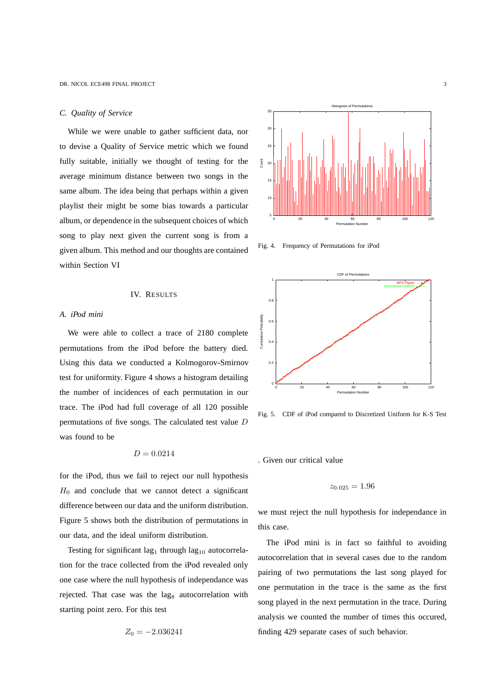#### *C. Quality of Service*

While we were unable to gather sufficient data, nor to devise a Quality of Service metric which we found fully suitable, initially we thought of testing for the average minimum distance between two songs in the same album. The idea being that perhaps within a given playlist their might be some bias towards a particular album, or dependence in the subsequent choices of which song to play next given the current song is from a given album. This method and our thoughts are contained within Section VI

# IV. RESULTS

#### *A. iPod mini*

We were able to collect a trace of 2180 complete permutations from the iPod before the battery died. Using this data we conducted a Kolmogorov-Smirnov test for uniformity. Figure 4 shows a histogram detailing the number of incidences of each permutation in our trace. The iPod had full coverage of all 120 possible permutations of five songs. The calculated test value D was found to be

$$
D=0.0214
$$

for the iPod, thus we fail to reject our null hypothesis  $H_0$  and conclude that we cannot detect a significant difference between our data and the uniform distribution. Figure 5 shows both the distribution of permutations in our data, and the ideal uniform distribution.

Testing for significant lag<sub>1</sub> through lag<sub>10</sub> autocorrelation for the trace collected from the iPod revealed only one case where the null hypothesis of independance was rejected. That case was the lag<sub>8</sub> autocorrelation with starting point zero. For this test

$$
Z_0 = -2.036241
$$



Fig. 4. Frequency of Permutations for iPod



Fig. 5. CDF of iPod compared to Discretized Uniform for K-S Test

. Given our critical value

$$
z_{0.025} = 1.96
$$

we must reject the null hypothesis for independance in this case.

The iPod mini is in fact so faithful to avoiding autocorrelation that in several cases due to the random pairing of two permutations the last song played for one permutation in the trace is the same as the first song played in the next permutation in the trace. During analysis we counted the number of times this occured, finding 429 separate cases of such behavior.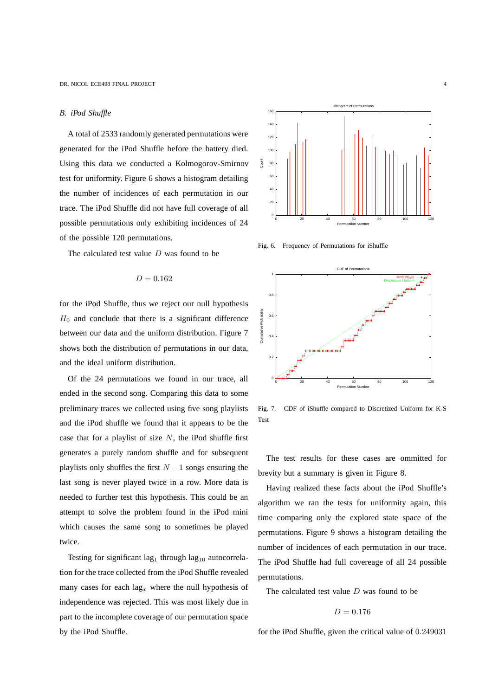#### *B. iPod Shuffle*

A total of 2533 randomly generated permutations were generated for the iPod Shuffle before the battery died. Using this data we conducted a Kolmogorov-Smirnov test for uniformity. Figure 6 shows a histogram detailing the number of incidences of each permutation in our trace. The iPod Shuffle did not have full coverage of all possible permutations only exhibiting incidences of 24 of the possible 120 permutations.

The calculated test value  $D$  was found to be

$$
D=0.162
$$

for the iPod Shuffle, thus we reject our null hypothesis  $H_0$  and conclude that there is a significant difference between our data and the uniform distribution. Figure 7 shows both the distribution of permutations in our data, and the ideal uniform distribution.

Of the 24 permutations we found in our trace, all ended in the second song. Comparing this data to some preliminary traces we collected using five song playlists and the iPod shuffle we found that it appears to be the case that for a playlist of size  $N$ , the iPod shuffle first generates a purely random shuffle and for subsequent playlists only shuffles the first  $N-1$  songs ensuring the last song is never played twice in a row. More data is needed to further test this hypothesis. This could be an attempt to solve the problem found in the iPod mini which causes the same song to sometimes be played twice.

Testing for significant lag<sub>1</sub> through lag<sub>10</sub> autocorrelation for the trace collected from the iPod Shuffle revealed many cases for each  $\log_x$  where the null hypothesis of independence was rejected. This was most likely due in part to the incomplete coverage of our permutation space by the iPod Shuffle.



Fig. 6. Frequency of Permutations for iShuffle



Fig. 7. CDF of iShuffle compared to Discretized Uniform for K-S Test

The test results for these cases are ommitted for brevity but a summary is given in Figure 8.

Having realized these facts about the iPod Shuffle's algorithm we ran the tests for uniformity again, this time comparing only the explored state space of the permutations. Figure 9 shows a histogram detailing the number of incidences of each permutation in our trace. The iPod Shuffle had full covereage of all 24 possible permutations.

The calculated test value  $D$  was found to be

$$
D=0.176
$$

for the iPod Shuffle, given the critical value of 0.249031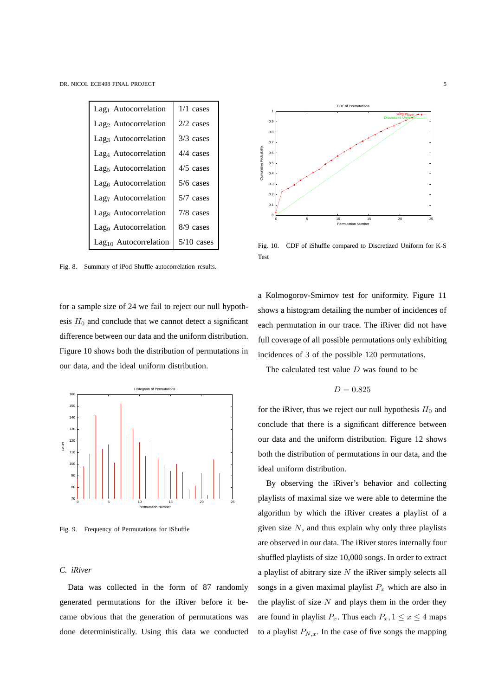

Fig. 8. Summary of iPod Shuffle autocorrelation results.

for a sample size of 24 we fail to reject our null hypothesis  $H_0$  and conclude that we cannot detect a significant difference between our data and the uniform distribution. Figure 10 shows both the distribution of permutations in our data, and the ideal uniform distribution.



Fig. 9. Frequency of Permutations for iShuffle

# *C. iRiver*

Data was collected in the form of 87 randomly generated permutations for the iRiver before it became obvious that the generation of permutations was done deterministically. Using this data we conducted



Fig. 10. CDF of iShuffle compared to Discretized Uniform for K-S Test

a Kolmogorov-Smirnov test for uniformity. Figure 11 shows a histogram detailing the number of incidences of each permutation in our trace. The iRiver did not have full coverage of all possible permutations only exhibiting incidences of 3 of the possible 120 permutations.

The calculated test value  $D$  was found to be

$$
D=0.825
$$

for the iRiver, thus we reject our null hypothesis  $H_0$  and conclude that there is a significant difference between our data and the uniform distribution. Figure 12 shows both the distribution of permutations in our data, and the ideal uniform distribution.

By observing the iRiver's behavior and collecting playlists of maximal size we were able to determine the algorithm by which the iRiver creates a playlist of a given size  $N$ , and thus explain why only three playlists are observed in our data. The iRiver stores internally four shuffled playlists of size 10,000 songs. In order to extract a playlist of abitrary size  $N$  the iRiver simply selects all songs in a given maximal playlist  $P_x$  which are also in the playlist of size  $N$  and plays them in the order they are found in playlist  $P_x$ . Thus each  $P_x$ ,  $1 \le x \le 4$  maps to a playlist  $P_{N,x}$ . In the case of five songs the mapping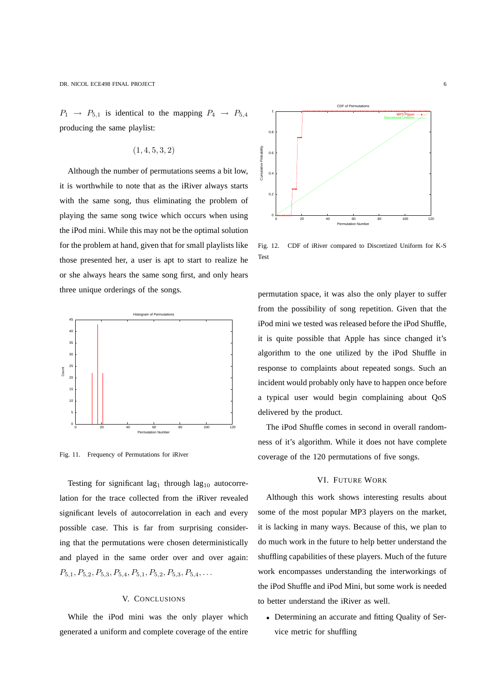$P_1 \rightarrow P_{5,1}$  is identical to the mapping  $P_4 \rightarrow P_{5,4}$ producing the same playlist:

(1, 4, 5, 3, 2)

Although the number of permutations seems a bit low, it is worthwhile to note that as the iRiver always starts with the same song, thus eliminating the problem of playing the same song twice which occurs when using the iPod mini. While this may not be the optimal solution for the problem at hand, given that for small playlists like those presented her, a user is apt to start to realize he or she always hears the same song first, and only hears three unique orderings of the songs.



Fig. 11. Frequency of Permutations for iRiver

Testing for significant lag<sub>1</sub> through lag<sub>10</sub> autocorrelation for the trace collected from the iRiver revealed significant levels of autocorrelation in each and every possible case. This is far from surprising considering that the permutations were chosen deterministically and played in the same order over and over again:  $P_{5,1}, P_{5,2}, P_{5,3}, P_{5,4}, P_{5,1}, P_{5,2}, P_{5,3}, P_{5,4}, \ldots$ 

#### V. CONCLUSIONS

While the iPod mini was the only player which generated a uniform and complete coverage of the entire



Fig. 12. CDF of iRiver compared to Discretized Uniform for K-S Test

permutation space, it was also the only player to suffer from the possibility of song repetition. Given that the iPod mini we tested was released before the iPod Shuffle, it is quite possible that Apple has since changed it's algorithm to the one utilized by the iPod Shuffle in response to complaints about repeated songs. Such an incident would probably only have to happen once before a typical user would begin complaining about QoS delivered by the product.

The iPod Shuffle comes in second in overall randomness of it's algorithm. While it does not have complete coverage of the 120 permutations of five songs.

# VI. FUTURE WORK

Although this work shows interesting results about some of the most popular MP3 players on the market, it is lacking in many ways. Because of this, we plan to do much work in the future to help better understand the shuffling capabilities of these players. Much of the future work encompasses understanding the interworkings of the iPod Shuffle and iPod Mini, but some work is needed to better understand the iRiver as well.

• Determining an accurate and fitting Quality of Service metric for shuffling